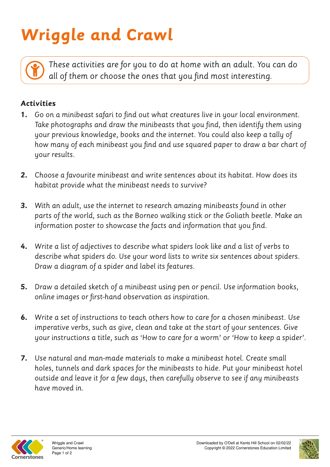## **Wriggle and Crawl**

*These activities are for you to do at home with an adult. You can do all of them or choose the ones that you find most interesting.*

## **Activities**

- **1.** *Go on a minibeast safari to find out what creatures live in your local environment. Take photographs and draw the minibeasts that you find, then identify them using your previous knowledge, books and the internet. You could also keep a tally of how many of each minibeast you find and use squared paper to draw a bar chart of your results.*
- **2.** *Choose a favourite minibeast and write sentences about its habitat. How does its habitat provide what the minibeast needs to survive?*
- **3.** *With an adult, use the internet to research amazing minibeasts found in other parts of the world, such as the Borneo walking stick or the Goliath beetle. Make an information poster to showcase the facts and information that you find.*
- **4.** *Write a list of adjectives to describe what spiders look like and a list of verbs to describe what spiders do. Use your word lists to write six sentences about spiders. Draw a diagram of a spider and label its features.*
- **5.** *Draw a detailed sketch of a minibeast using pen or pencil. Use information books, online images or first-hand observation as inspiration.*
- **6.** *Write a set of instructions to teach others how to care for a chosen minibeast. Use imperative verbs, such as give, clean and take at the start of your sentences. Give your instructions a title, such as 'How to care for a worm' or 'How to keep a spider'.*
- **7.** *Use natural and man-made materials to make a minibeast hotel. Create small holes, tunnels and dark spaces for the minibeasts to hide. Put your minibeast hotel outside and leave it for a few days, then carefully observe to see if any minibeasts have moved in.*